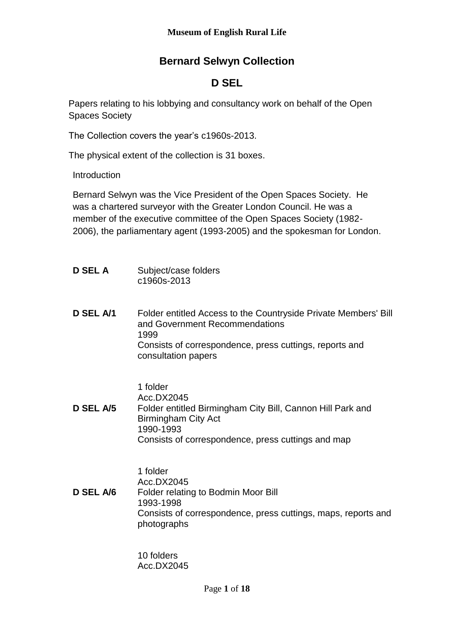# **Bernard Selwyn Collection**

## **D SEL**

Papers relating to his lobbying and consultancy work on behalf of the Open Spaces Society

The Collection covers the year's c1960s-2013.

The physical extent of the collection is 31 boxes.

Introduction

Bernard Selwyn was the Vice President of the Open Spaces Society. He was a chartered surveyor with the Greater London Council. He was a member of the executive committee of the Open Spaces Society (1982- 2006), the parliamentary agent (1993-2005) and the spokesman for London.

- **D SEL A** Subject/case folders c1960s-2013
- **D SEL A/1** Folder entitled Access to the Countryside Private Members' Bill and Government Recommendations 1999 Consists of correspondence, press cuttings, reports and consultation papers

1 folder

- Acc.DX2045
- **D SEL A/5** Folder entitled Birmingham City Bill, Cannon Hill Park and Birmingham City Act 1990-1993 Consists of correspondence, press cuttings and map

1 folder

Acc.DX2045

**D SEL A/6** Folder relating to Bodmin Moor Bill 1993-1998 Consists of correspondence, press cuttings, maps, reports and photographs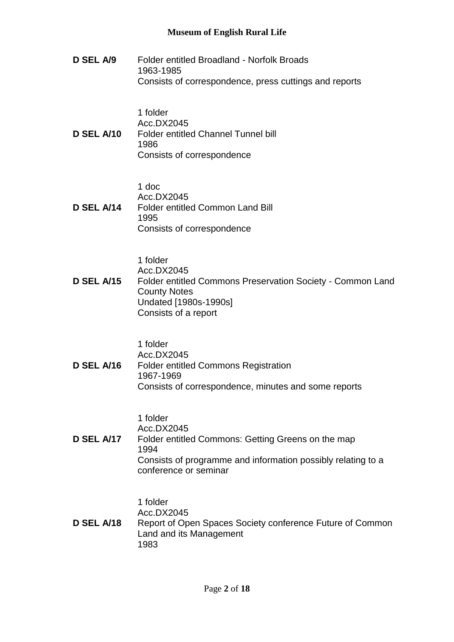**D SEL A/9** Folder entitled Broadland - Norfolk Broads 1963-1985 Consists of correspondence, press cuttings and reports

1 folder Acc.DX2045 **D SEL A/10** Folder entitled Channel Tunnel bill 1986 Consists of correspondence

1 doc

Acc.DX2045 **D SEL A/14** Folder entitled Common Land Bill 1995 Consists of correspondence

1 folder

Acc.DX2045

**D SEL A/15** Folder entitled Commons Preservation Society - Common Land County Notes Undated [1980s-1990s] Consists of a report

1 folder

Acc.DX2045

**D SEL A/16** Folder entitled Commons Registration 1967-1969 Consists of correspondence, minutes and some reports

1 folder

Acc.DX2045

**D SEL A/17** Folder entitled Commons: Getting Greens on the map 1994 Consists of programme and information possibly relating to a conference or seminar

1 folder

Acc.DX2045

**D SEL A/18** Report of Open Spaces Society conference Future of Common Land and its Management 1983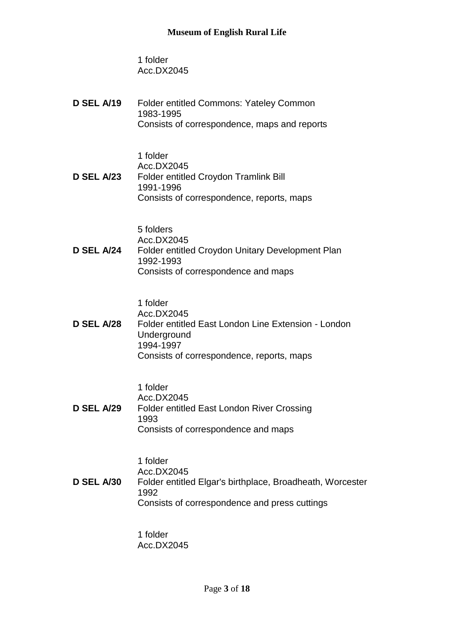1 folder Acc.DX2045

| <b>D SEL A/19</b> | <b>Folder entitled Commons: Yateley Common</b><br>1983-1995<br>Consists of correspondence, maps and reports                                            |
|-------------------|--------------------------------------------------------------------------------------------------------------------------------------------------------|
| <b>D SEL A/23</b> | 1 folder<br>Acc.DX2045<br><b>Folder entitled Croydon Tramlink Bill</b><br>1991-1996<br>Consists of correspondence, reports, maps                       |
| D SEL A/24        | 5 folders<br>Acc.DX2045<br><b>Folder entitled Croydon Unitary Development Plan</b><br>1992-1993<br>Consists of correspondence and maps                 |
| <b>D SEL A/28</b> | 1 folder<br>Acc.DX2045<br>Folder entitled East London Line Extension - London<br>Underground<br>1994-1997<br>Consists of correspondence, reports, maps |
| <b>D SEL A/29</b> | 1 folder<br>Acc.DX2045<br><b>Folder entitled East London River Crossing</b><br>1993<br>Consists of correspondence and maps                             |

1 folder

Acc.DX2045 **D SEL A/30** Folder entitled Elgar's birthplace, Broadheath, Worcester 1992 Consists of correspondence and press cuttings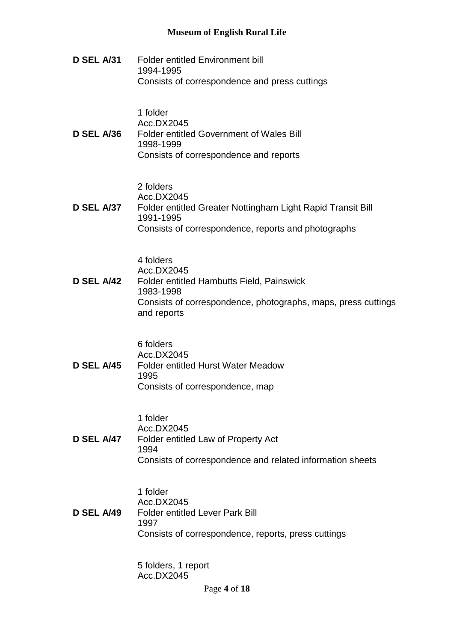**D SEL A/31** Folder entitled Environment bill 1994-1995 Consists of correspondence and press cuttings

1 folder

#### Acc.DX2045 **D SEL A/36** Folder entitled Government of Wales Bill 1998-1999 Consists of correspondence and reports

2 folders

Acc.DX2045

**D SEL A/37** Folder entitled Greater Nottingham Light Rapid Transit Bill 1991-1995 Consists of correspondence, reports and photographs

4 folders

Acc.DX2045

**D SEL A/42** Folder entitled Hambutts Field, Painswick 1983-1998 Consists of correspondence, photographs, maps, press cuttings and reports

6 folders

Acc.DX2045 **D SEL A/45** Folder entitled Hurst Water Meadow 1995 Consists of correspondence, map

1 folder

Acc.DX2045 **D SEL A/47** Folder entitled Law of Property Act 1994 Consists of correspondence and related information sheets

> 1 folder Acc.DX2045

**D SEL A/49** Folder entitled Lever Park Bill 1997 Consists of correspondence, reports, press cuttings

> 5 folders, 1 report Acc.DX2045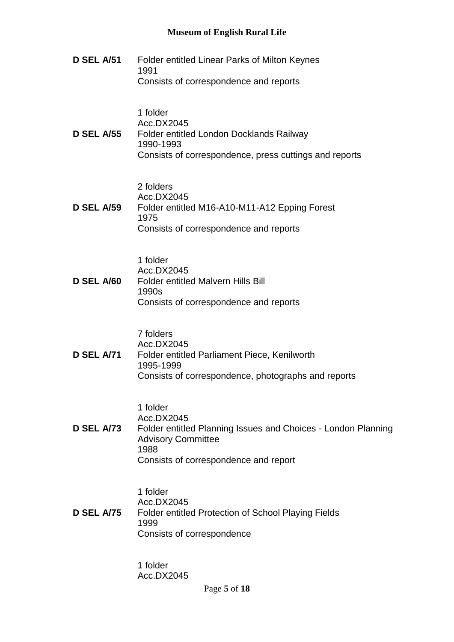**D SEL A/51** Folder entitled Linear Parks of Milton Keynes 1991 Consists of correspondence and reports 1 folder Acc.DX2045 **D SEL A/55** Folder entitled London Docklands Railway 1990-1993 Consists of correspondence, press cuttings and reports 2 folders Acc.DX2045 **D SEL A/59** Folder entitled M16-A10-M11-A12 Epping Forest 1975 Consists of correspondence and reports 1 folder Acc.DX2045 **D SEL A/60** Folder entitled Malvern Hills Bill 1990s Consists of correspondence and reports 7 folders Acc.DX2045 **D SEL A/71** Folder entitled Parliament Piece, Kenilworth 1995-1999 Consists of correspondence, photographs and reports 1 folder Acc.DX2045 **D SEL A/73** Folder entitled Planning Issues and Choices - London Planning Advisory Committee 1988 Consists of correspondence and report 1 folder Acc.DX2045 **D SEL A/75** Folder entitled Protection of School Playing Fields 1999 Consists of correspondence 1 folder

Page **5** of **18**

Acc.DX2045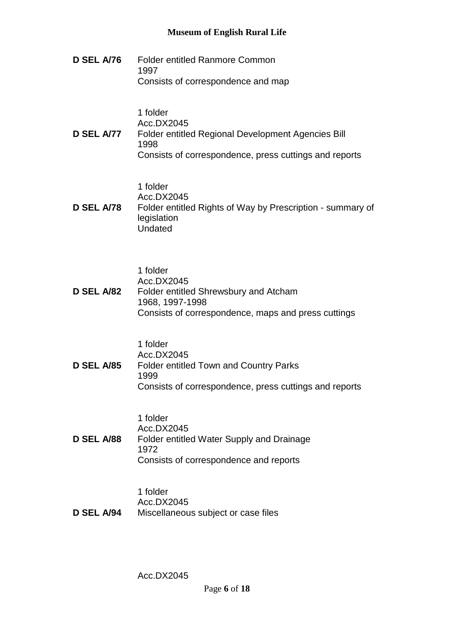**D SEL A/76** Folder entitled Ranmore Common 1997 Consists of correspondence and map

1 folder

Acc.DX2045

#### **D SEL A/77** Folder entitled Regional Development Agencies Bill 1998 Consists of correspondence, press cuttings and reports

1 folder

Acc.DX2045

**D SEL A/78** Folder entitled Rights of Way by Prescription - summary of legislation Undated

1 folder

Acc.DX2045

**D SEL A/82** Folder entitled Shrewsbury and Atcham 1968, 1997-1998 Consists of correspondence, maps and press cuttings

1 folder

Acc.DX2045 **D SEL A/85** Folder entitled Town and Country Parks 1999 Consists of correspondence, press cuttings and reports

1 folder

Acc.DX2045 **D SEL A/88** Folder entitled Water Supply and Drainage 1972 Consists of correspondence and reports

> 1 folder Acc.DX2045

**D SEL A/94** Miscellaneous subject or case files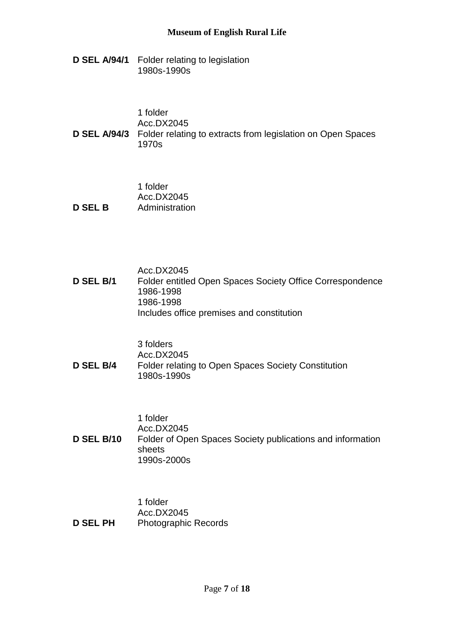**D SEL A/94/1** Folder relating to legislation 1980s-1990s

| 1 folder<br>Acc.DX2045                                                                   |
|------------------------------------------------------------------------------------------|
| <b>D SEL A/94/3</b> Folder relating to extracts from legislation on Open Spaces<br>1970s |

|                | 1 folder       |
|----------------|----------------|
|                | Acc.DX2045     |
| <b>D SEL B</b> | Administration |

|           | Acc.DX2045                                                |
|-----------|-----------------------------------------------------------|
| D SEL B/1 | Folder entitled Open Spaces Society Office Correspondence |
|           | 1986-1998                                                 |
|           | 1986-1998                                                 |
|           | Includes office premises and constitution                 |

3 folders

Acc.DX2045 **D SEL B/4** Folder relating to Open Spaces Society Constitution 1980s-1990s

1 folder

Acc.DX2045 **D SEL B/10** Folder of Open Spaces Society publications and information sheets 1990s-2000s

|                 | 1 folder                    |
|-----------------|-----------------------------|
|                 | Acc.DX2045                  |
| <b>D SEL PH</b> | <b>Photographic Records</b> |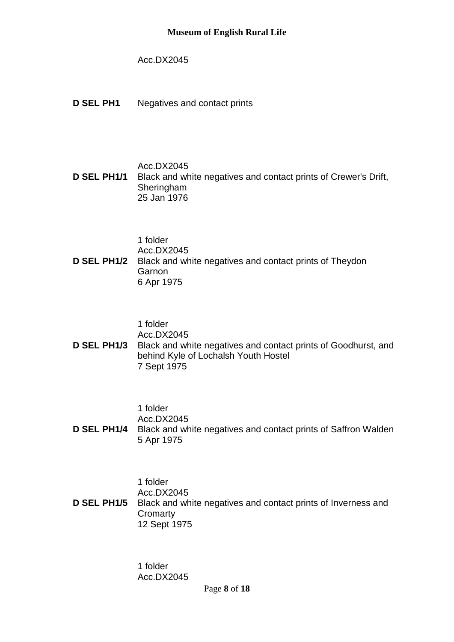#### Acc.DX2045

**D SEL PH1** Negatives and contact prints

#### Acc.DX2045

**D SEL PH1/1** Black and white negatives and contact prints of Crewer's Drift, Sheringham 25 Jan 1976

1 folder

Acc.DX2045 **D SEL PH1/2** Black and white negatives and contact prints of Theydon **Garnon** 6 Apr 1975

1 folder

Acc.DX2045 **D SEL PH1/3** Black and white negatives and contact prints of Goodhurst, and behind Kyle of Lochalsh Youth Hostel 7 Sept 1975

1 folder

Acc.DX2045

**D SEL PH1/4** Black and white negatives and contact prints of Saffron Walden 5 Apr 1975

1 folder

Acc.DX2045 **D SEL PH1/5** Black and white negatives and contact prints of Inverness and **Cromarty** 12 Sept 1975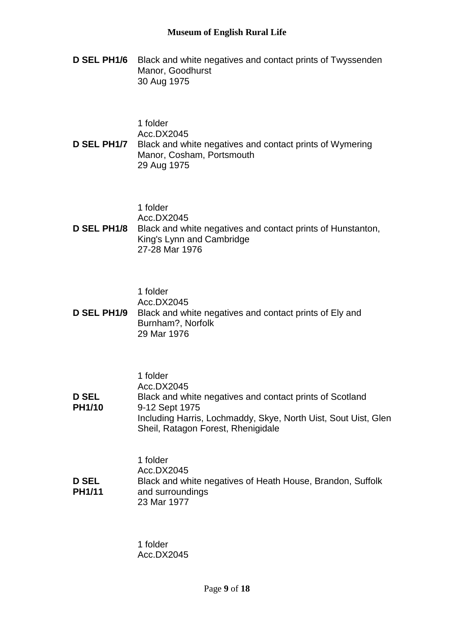**D SEL PH1/6** Black and white negatives and contact prints of Twyssenden Manor, Goodhurst 30 Aug 1975

|  | 1 folder |
|--|----------|
|--|----------|

Acc.DX2045

**D SEL PH1/7** Black and white negatives and contact prints of Wymering Manor, Cosham, Portsmouth 29 Aug 1975

1 folder

Acc.DX2045

**D SEL PH1/8** Black and white negatives and contact prints of Hunstanton, King's Lynn and Cambridge 27-28 Mar 1976

1 folder

Acc.DX2045

**D SEL PH1/9** Black and white negatives and contact prints of Ely and Burnham?, Norfolk 29 Mar 1976

|               | 1 folder                                                       |
|---------------|----------------------------------------------------------------|
|               | Acc.DX2045                                                     |
| <b>D SEL</b>  | Black and white negatives and contact prints of Scotland       |
| <b>PH1/10</b> | 9-12 Sept 1975                                                 |
|               | Including Harris, Lochmaddy, Skye, North Uist, Sout Uist, Glen |
|               | Sheil, Ratagon Forest, Rhenigidale                             |

|               | 1 folder                                                   |
|---------------|------------------------------------------------------------|
|               | Acc.DX2045                                                 |
| <b>D SEL</b>  | Black and white negatives of Heath House, Brandon, Suffolk |
| <b>PH1/11</b> | and surroundings                                           |
|               | 23 Mar 1977                                                |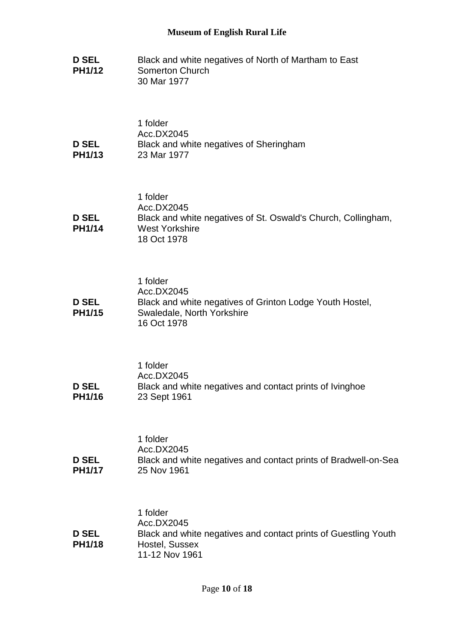**D SEL PH1/12** Black and white negatives of North of Martham to East Somerton Church 30 Mar 1977

|               | 1 folder                                |
|---------------|-----------------------------------------|
|               | Acc.DX2045                              |
| <b>D SEL</b>  | Black and white negatives of Sheringham |
| <b>PH1/13</b> | 23 Mar 1977                             |

|               | 1 folder                                                      |
|---------------|---------------------------------------------------------------|
|               | Acc.DX2045                                                    |
| <b>D SEL</b>  | Black and white negatives of St. Oswald's Church, Collingham, |
| <b>PH1/14</b> | West Yorkshire                                                |
|               | 18 Oct 1978                                                   |

|               | 1 folder                                                 |
|---------------|----------------------------------------------------------|
|               | Acc.DX2045                                               |
| <b>D SEL</b>  | Black and white negatives of Grinton Lodge Youth Hostel, |
| <b>PH1/15</b> | Swaledale, North Yorkshire                               |
|               | 16 Oct 1978                                              |

|               | 1 folder                                                 |
|---------------|----------------------------------------------------------|
|               | Acc.DX2045                                               |
| <b>D SEL</b>  | Black and white negatives and contact prints of Ivinghoe |
| <b>PH1/16</b> | 23 Sept 1961                                             |

|               | 1 folder                                                        |
|---------------|-----------------------------------------------------------------|
|               | Acc.DX2045                                                      |
| <b>D SEL</b>  | Black and white negatives and contact prints of Bradwell-on-Sea |
| <b>PH1/17</b> | 25 Nov 1961                                                     |

|               | 1 folder                                                        |
|---------------|-----------------------------------------------------------------|
|               | Acc.DX2045                                                      |
| D SEL         | Black and white negatives and contact prints of Guestling Youth |
| <b>PH1/18</b> | Hostel, Sussex                                                  |
|               | 11-12 Nov 1961                                                  |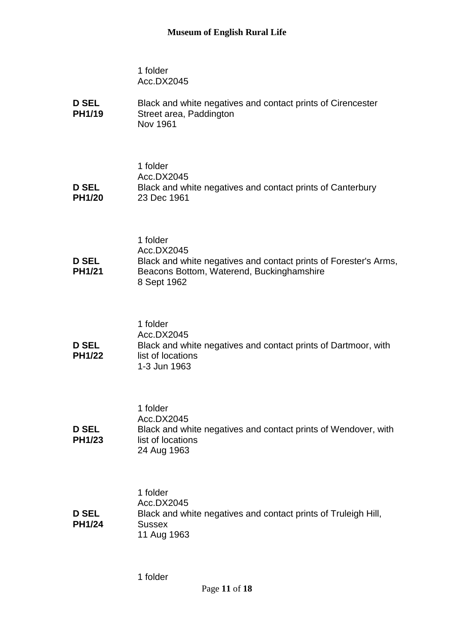| <b>D SEL</b>  | Black and white negatives and contact prints of Cirencester |
|---------------|-------------------------------------------------------------|
| <b>PH1/19</b> | Street area, Paddington                                     |
|               | Nov 1961                                                    |

|               | 1 folder                                                   |
|---------------|------------------------------------------------------------|
|               | Acc.DX2045                                                 |
| <b>D SEL</b>  | Black and white negatives and contact prints of Canterbury |
| <b>PH1/20</b> | 23 Dec 1961                                                |

|               | 1 folder                                                         |
|---------------|------------------------------------------------------------------|
|               | Acc.DX2045                                                       |
| <b>D SEL</b>  | Black and white negatives and contact prints of Forester's Arms, |
| <b>PH1/21</b> | Beacons Bottom, Waterend, Buckinghamshire<br>8 Sept 1962         |

|                               | 1 folder<br>Acc.DX2045                                                                              |
|-------------------------------|-----------------------------------------------------------------------------------------------------|
| <b>D SEL</b><br><b>PH1/22</b> | Black and white negatives and contact prints of Dartmoor, with<br>list of locations<br>1-3 Jun 1963 |

|               | 1 folder                                                       |
|---------------|----------------------------------------------------------------|
|               | Acc.DX2045                                                     |
| <b>D SEL</b>  | Black and white negatives and contact prints of Wendover, with |
| <b>PH1/23</b> | list of locations                                              |
|               | 24 Aug 1963                                                    |

|               | 1 folder                                                       |
|---------------|----------------------------------------------------------------|
|               | Acc.DX2045                                                     |
| <b>D SEL</b>  | Black and white negatives and contact prints of Truleigh Hill, |
| <b>PH1/24</b> | <b>Sussex</b>                                                  |
|               | 11 Aug 1963                                                    |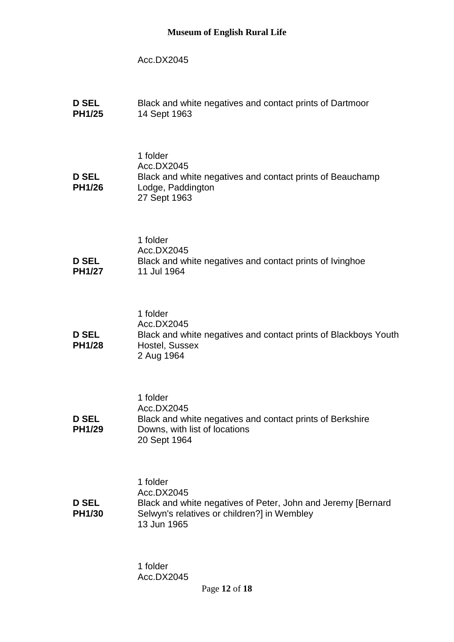### Acc.DX2045

| <b>D SEL</b><br><b>PH1/25</b> | Black and white negatives and contact prints of Dartmoor<br>14 Sept 1963                                                                             |
|-------------------------------|------------------------------------------------------------------------------------------------------------------------------------------------------|
| <b>D SEL</b><br><b>PH1/26</b> | 1 folder<br>Acc.DX2045<br>Black and white negatives and contact prints of Beauchamp<br>Lodge, Paddington<br>27 Sept 1963                             |
| <b>D SEL</b><br><b>PH1/27</b> | 1 folder<br>Acc.DX2045<br>Black and white negatives and contact prints of Ivinghoe<br>11 Jul 1964                                                    |
| <b>D SEL</b><br><b>PH1/28</b> | 1 folder<br>Acc.DX2045<br>Black and white negatives and contact prints of Blackboys Youth<br>Hostel, Sussex<br>2 Aug 1964                            |
| <b>D SEL</b><br><b>PH1/29</b> | 1 folder<br>Acc.DX2045<br>Black and white negatives and contact prints of Berkshire<br>Downs, with list of locations<br>20 Sept 1964                 |
| <b>D SEL</b><br><b>PH1/30</b> | 1 folder<br>Acc.DX2045<br>Black and white negatives of Peter, John and Jeremy [Bernard<br>Selwyn's relatives or children?] in Wembley<br>13 Jun 1965 |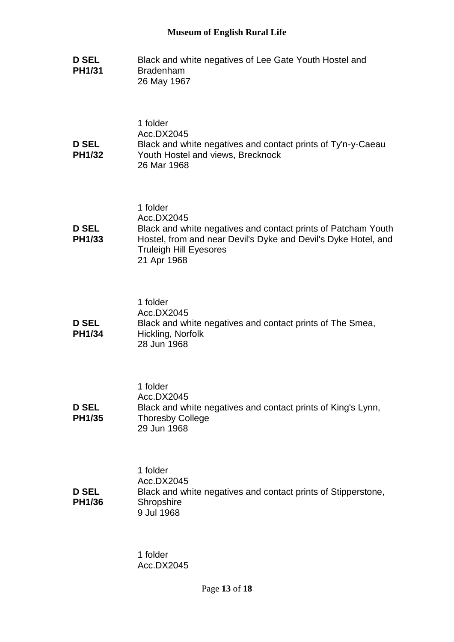| <b>D SEL</b><br><b>PH1/31</b> | Black and white negatives of Lee Gate Youth Hostel and<br><b>Bradenham</b><br>26 May 1967                                                                                                                 |
|-------------------------------|-----------------------------------------------------------------------------------------------------------------------------------------------------------------------------------------------------------|
| <b>D SEL</b><br><b>PH1/32</b> | 1 folder<br>Acc.DX2045<br>Black and white negatives and contact prints of Ty'n-y-Caeau<br>Youth Hostel and views, Brecknock<br>26 Mar 1968                                                                |
| <b>D SEL</b><br><b>PH1/33</b> | 1 folder<br>Acc.DX2045<br>Black and white negatives and contact prints of Patcham Youth<br>Hostel, from and near Devil's Dyke and Devil's Dyke Hotel, and<br><b>Truleigh Hill Eyesores</b><br>21 Apr 1968 |
| <b>D SEL</b><br><b>PH1/34</b> | 1 folder<br>Acc.DX2045<br>Black and white negatives and contact prints of The Smea,<br>Hickling, Norfolk<br>28 Jun 1968                                                                                   |
| <b>D SEL</b><br><b>PH1/35</b> | 1 folder<br>Acc.DX2045<br>Black and white negatives and contact prints of King's Lynn,<br><b>Thoresby College</b><br>29 Jun 1968                                                                          |
| <b>D SEL</b><br><b>PH1/36</b> | 1 folder<br>Acc.DX2045<br>Black and white negatives and contact prints of Stipperstone,<br>Shropshire<br>9 Jul 1968                                                                                       |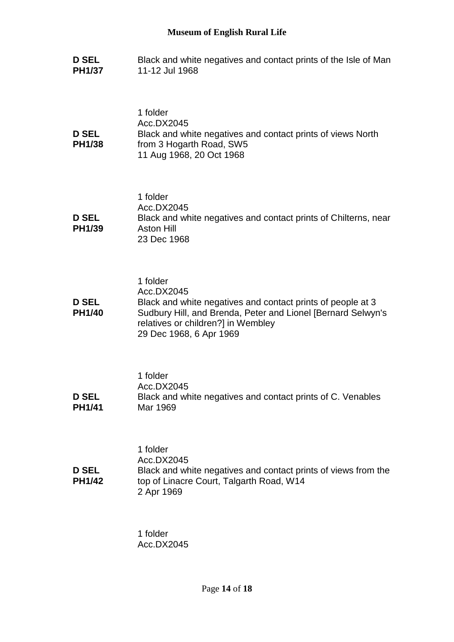**D SEL PH1/37** Black and white negatives and contact prints of the Isle of Man 11-12 Jul 1968

| <b>D SEL</b><br><b>PH1/38</b> | 1 folder<br>Acc.DX2045<br>Black and white negatives and contact prints of views North<br>from 3 Hogarth Road, SW5<br>11 Aug 1968, 20 Oct 1968                                                                          |
|-------------------------------|------------------------------------------------------------------------------------------------------------------------------------------------------------------------------------------------------------------------|
| <b>D SEL</b><br><b>PH1/39</b> | 1 folder<br>Acc.DX2045<br>Black and white negatives and contact prints of Chilterns, near<br><b>Aston Hill</b><br>23 Dec 1968                                                                                          |
| <b>D SEL</b><br><b>PH1/40</b> | 1 folder<br>Acc.DX2045<br>Black and white negatives and contact prints of people at 3<br>Sudbury Hill, and Brenda, Peter and Lionel [Bernard Selwyn's<br>relatives or children?] in Wembley<br>29 Dec 1968, 6 Apr 1969 |
| <b>D SEL</b><br><b>PH1/41</b> | 1 folder<br>Acc.DX2045<br>Black and white negatives and contact prints of C. Venables<br>Mar 1969                                                                                                                      |
| <b>D SEL</b><br><b>PH1/42</b> | 1 folder<br>Acc.DX2045<br>Black and white negatives and contact prints of views from the<br>top of Linacre Court, Talgarth Road, W14<br>2 Apr 1969                                                                     |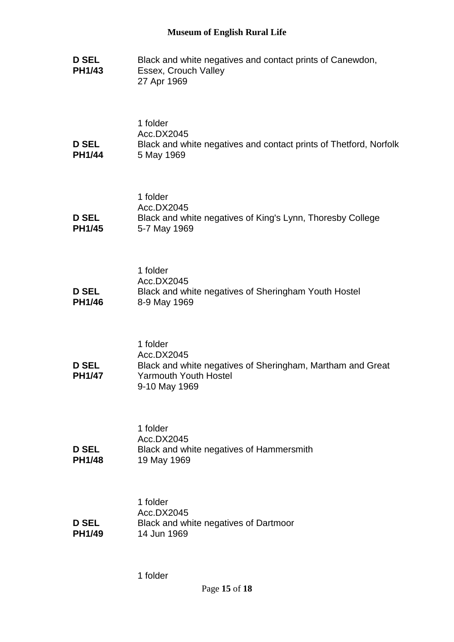| <b>D SEL</b><br><b>PH1/43</b> | Black and white negatives and contact prints of Canewdon,<br>Essex, Crouch Valley<br>27 Apr 1969                                      |
|-------------------------------|---------------------------------------------------------------------------------------------------------------------------------------|
| <b>D SEL</b><br><b>PH1/44</b> | 1 folder<br>Acc.DX2045<br>Black and white negatives and contact prints of Thetford, Norfolk<br>5 May 1969                             |
| <b>D SEL</b><br><b>PH1/45</b> | 1 folder<br>Acc.DX2045<br>Black and white negatives of King's Lynn, Thoresby College<br>5-7 May 1969                                  |
| <b>D SEL</b><br><b>PH1/46</b> | 1 folder<br>Acc.DX2045<br>Black and white negatives of Sheringham Youth Hostel<br>8-9 May 1969                                        |
| <b>D SEL</b><br><b>PH1/47</b> | 1 folder<br>Acc.DX2045<br>Black and white negatives of Sheringham, Martham and Great<br><b>Yarmouth Youth Hostel</b><br>9-10 May 1969 |
| <b>D SEL</b><br><b>PH1/48</b> | 1 folder<br>Acc.DX2045<br>Black and white negatives of Hammersmith<br>19 May 1969                                                     |
| <b>D SEL</b><br><b>PH1/49</b> | 1 folder<br>Acc.DX2045<br>Black and white negatives of Dartmoor<br>14 Jun 1969                                                        |

1 folder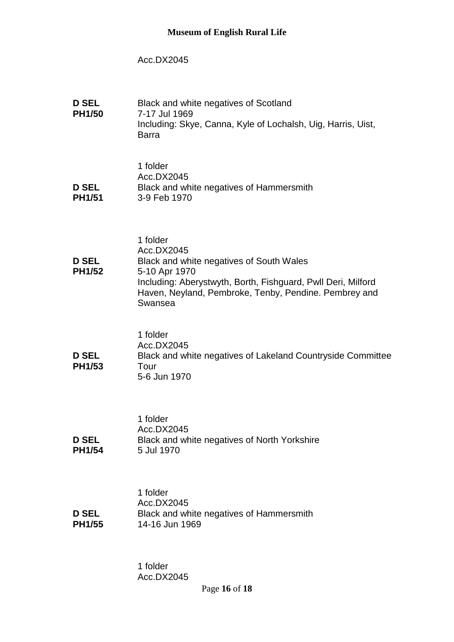## Acc.DX2045

| <b>D SEL</b><br><b>PH1/50</b> | Black and white negatives of Scotland<br>7-17 Jul 1969<br>Including: Skye, Canna, Kyle of Lochalsh, Uig, Harris, Uist,<br><b>Barra</b>                                                                                  |
|-------------------------------|-------------------------------------------------------------------------------------------------------------------------------------------------------------------------------------------------------------------------|
| <b>D SEL</b><br><b>PH1/51</b> | 1 folder<br>Acc.DX2045<br>Black and white negatives of Hammersmith<br>3-9 Feb 1970                                                                                                                                      |
| <b>D SEL</b><br><b>PH1/52</b> | 1 folder<br>Acc.DX2045<br>Black and white negatives of South Wales<br>5-10 Apr 1970<br>Including: Aberystwyth, Borth, Fishguard, Pwll Deri, Milford<br>Haven, Neyland, Pembroke, Tenby, Pendine. Pembrey and<br>Swansea |
| <b>D SEL</b><br><b>PH1/53</b> | 1 folder<br>Acc.DX2045<br>Black and white negatives of Lakeland Countryside Committee<br>Tour<br>5-6 Jun 1970                                                                                                           |
| <b>D SEL</b><br><b>PH1/54</b> | 1 folder<br>Acc.DX2045<br>Black and white negatives of North Yorkshire<br>5 Jul 1970                                                                                                                                    |
| <b>D SEL</b><br><b>PH1/55</b> | 1 folder<br>Acc.DX2045<br>Black and white negatives of Hammersmith<br>14-16 Jun 1969                                                                                                                                    |
|                               | 1 folder                                                                                                                                                                                                                |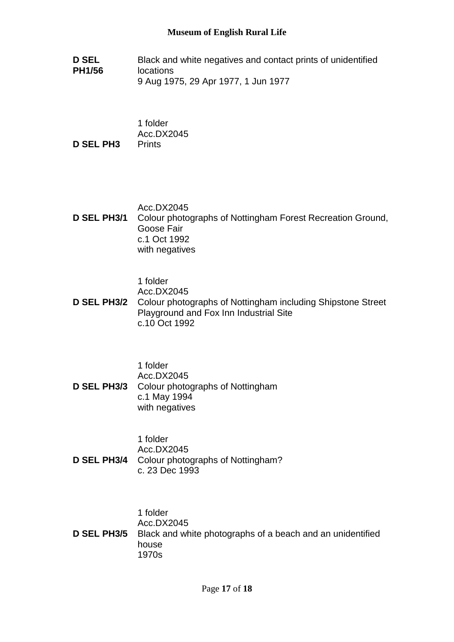**D SEL PH1/56** Black and white negatives and contact prints of unidentified locations 9 Aug 1975, 29 Apr 1977, 1 Jun 1977

1 folder Acc.DX2045 **D SEL PH3** Prints

Acc.DX2045 **D SEL PH3/1** Colour photographs of Nottingham Forest Recreation Ground, Goose Fair c.1 Oct 1992 with negatives

1 folder

Acc.DX2045

**D SEL PH3/2** Colour photographs of Nottingham including Shipstone Street Playground and Fox Inn Industrial Site c.10 Oct 1992

1 folder Acc.DX2045 **D SEL PH3/3** Colour photographs of Nottingham c.1 May 1994 with negatives

1 folder Acc.DX2045 **D SEL PH3/4** Colour photographs of Nottingham? c. 23 Dec 1993

1 folder Acc.DX2045 **D SEL PH3/5** Black and white photographs of a beach and an unidentified house 1970s